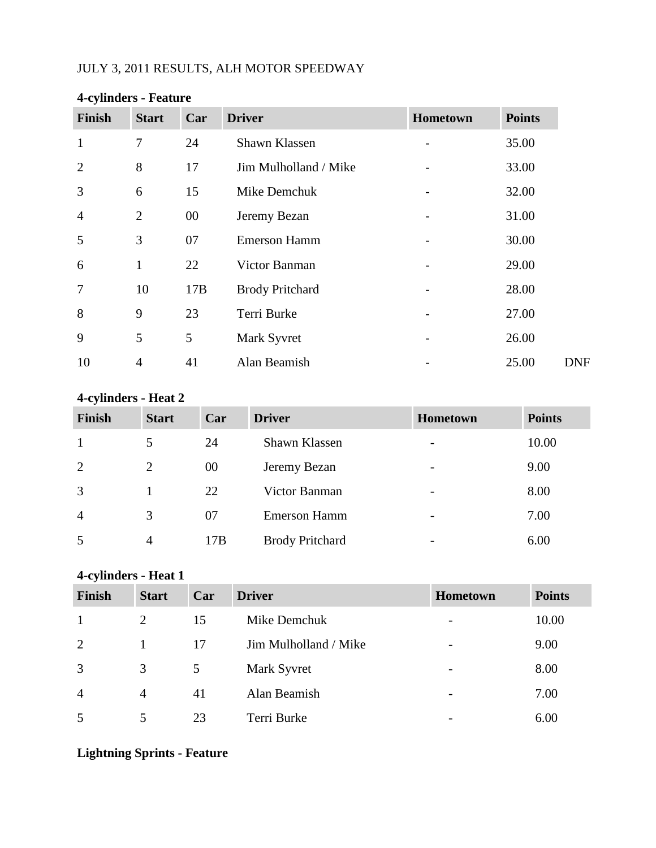# JULY 3, 2011 RESULTS, ALH MOTOR SPEEDWAY

| <b>Finish</b>  | <b>Start</b>   | Car    | <b>Driver</b>          | Hometown | <b>Points</b> |
|----------------|----------------|--------|------------------------|----------|---------------|
| $\mathbf{1}$   | 7              | 24     | Shawn Klassen          |          | 35.00         |
| $\overline{2}$ | 8              | 17     | Jim Mulholland / Mike  |          | 33.00         |
| 3              | 6              | 15     | Mike Demchuk           |          | 32.00         |
| $\overline{4}$ | $\overline{2}$ | $00\,$ | Jeremy Bezan           |          | 31.00         |
| 5              | 3              | 07     | <b>Emerson Hamm</b>    |          | 30.00         |
| 6              | $\mathbf{1}$   | 22     | Victor Banman          |          | 29.00         |
| $\overline{7}$ | 10             | 17B    | <b>Brody Pritchard</b> |          | 28.00         |
| 8              | 9              | 23     | Terri Burke            |          | 27.00         |
| 9              | 5              | 5      | Mark Syvret            |          | 26.00         |
| 10             | $\overline{4}$ | 41     | Alan Beamish           |          | 25.00         |

# **4-cylinders - Feature**

# **4-cylinders - Heat 2**

| Finish         | <b>Start</b>   | Car | <b>Driver</b>          | Hometown                 | <b>Points</b> |
|----------------|----------------|-----|------------------------|--------------------------|---------------|
| 1              | 5              | 24  | Shawn Klassen          | $\overline{\phantom{a}}$ | 10.00         |
| $\overline{2}$ | 2              | 00  | Jeremy Bezan           | $\overline{\phantom{a}}$ | 9.00          |
| 3              |                | 22  | Victor Banman          | $\overline{\phantom{a}}$ | 8.00          |
| $\overline{4}$ | 3              | 07  | <b>Emerson Hamm</b>    | $\overline{\phantom{a}}$ | 7.00          |
| 5              | $\overline{4}$ | 17B | <b>Brody Pritchard</b> | $\overline{\phantom{a}}$ | 6.00          |

# **4-cylinders - Heat 1**

| Finish         | <b>Start</b>   | Car | <b>Driver</b>         | Hometown                     | <b>Points</b> |
|----------------|----------------|-----|-----------------------|------------------------------|---------------|
| $\mathbf{1}$   | 2              | 15  | Mike Demchuk          | $\qquad \qquad \blacksquare$ | 10.00         |
| 2              |                | 17  | Jim Mulholland / Mike | $\qquad \qquad \blacksquare$ | 9.00          |
| $\overline{3}$ | 3              | 5   | Mark Syvret           | -                            | 8.00          |
| $\overline{4}$ | $\overline{4}$ | 41  | Alan Beamish          | -                            | 7.00          |
| 5              | 5              | 23  | Terri Burke           | $\overline{\phantom{a}}$     | 6.00          |

## **Lightning Sprints - Feature**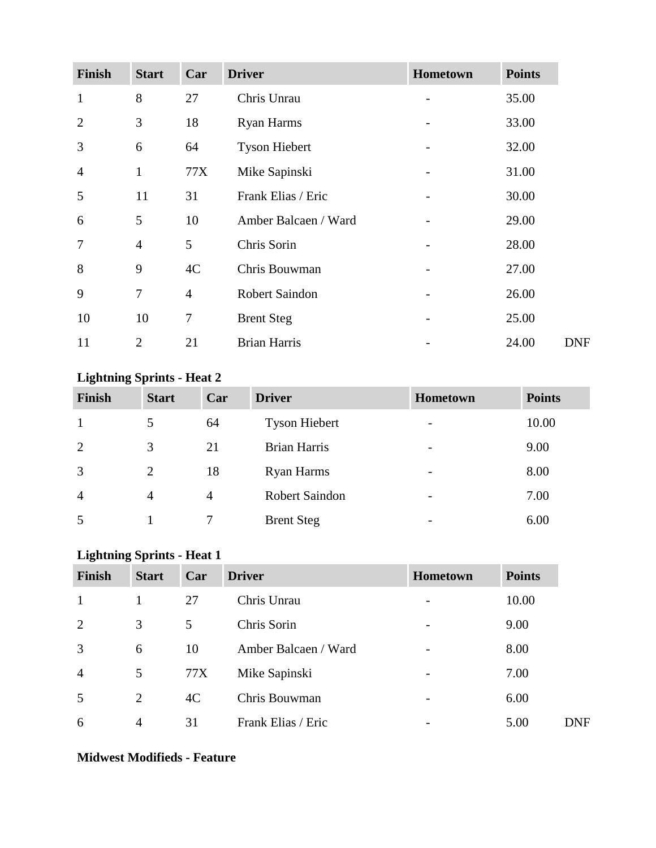| <b>Finish</b>  | <b>Start</b>   | Car            | <b>Driver</b>         | Hometown | <b>Points</b> |
|----------------|----------------|----------------|-----------------------|----------|---------------|
| $\mathbf{1}$   | 8              | 27             | Chris Unrau           |          | 35.00         |
| $\overline{2}$ | 3              | 18             | <b>Ryan Harms</b>     |          | 33.00         |
| 3              | 6              | 64             | <b>Tyson Hiebert</b>  |          | 32.00         |
| $\overline{4}$ | $\mathbf{1}$   | 77X            | Mike Sapinski         |          | 31.00         |
| 5              | 11             | 31             | Frank Elias / Eric    |          | 30.00         |
| 6              | 5              | 10             | Amber Balcaen / Ward  |          | 29.00         |
| $\overline{7}$ | $\overline{4}$ | 5              | Chris Sorin           |          | 28.00         |
| 8              | 9              | 4C             | Chris Bouwman         |          | 27.00         |
| 9              | $\overline{7}$ | $\overline{4}$ | <b>Robert Saindon</b> |          | 26.00         |
| 10             | 10             | 7              | <b>Brent Steg</b>     |          | 25.00         |
| 11             | $\overline{2}$ | 21             | <b>Brian Harris</b>   |          | 24.00         |

# **Lightning Sprints - Heat 2**

| Finish         | <b>Start</b>   | Car            | <b>Driver</b>        | Hometown                 | <b>Points</b> |
|----------------|----------------|----------------|----------------------|--------------------------|---------------|
| -1             | 5              | 64             | <b>Tyson Hiebert</b> | $\overline{\phantom{a}}$ | 10.00         |
| 2              | 3              | 21             | Brian Harris         | $\overline{\phantom{0}}$ | 9.00          |
| 3              | 2              | 18             | Ryan Harms           | $\overline{\phantom{0}}$ | 8.00          |
| $\overline{4}$ | $\overline{4}$ | $\overline{4}$ | Robert Saindon       | $\overline{\phantom{0}}$ | 7.00          |
| 5              |                |                | <b>Brent Steg</b>    | $\overline{\phantom{0}}$ | 6.00          |

# **Lightning Sprints - Heat 1**

| <b>Finish</b>  | <b>Start</b>   | Car | <b>Driver</b>        | Hometown                 | <b>Points</b> |            |
|----------------|----------------|-----|----------------------|--------------------------|---------------|------------|
| 1              |                | 27  | Chris Unrau          |                          | 10.00         |            |
| 2              | 3              | 5   | Chris Sorin          | $\overline{\phantom{a}}$ | 9.00          |            |
| 3              | 6              | 10  | Amber Balcaen / Ward |                          | 8.00          |            |
| $\overline{4}$ | 5              | 77X | Mike Sapinski        | -                        | 7.00          |            |
| 5              | $\overline{2}$ | 4C  | Chris Bouwman        |                          | 6.00          |            |
| 6              | $\overline{4}$ | 31  | Frank Elias / Eric   |                          | 5.00          | <b>DNF</b> |

### **Midwest Modifieds - Feature**